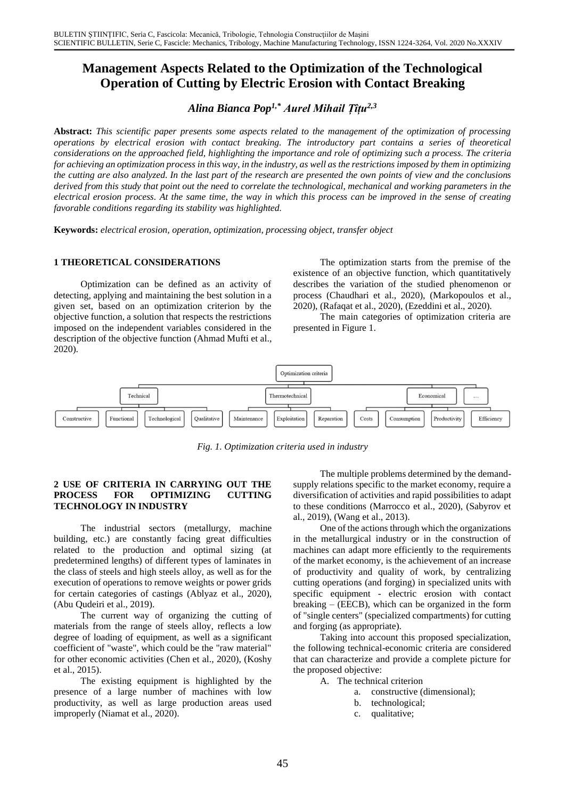# **Management Aspects Related to the Optimization of the Technological Operation of Cutting by Electric Erosion with Contact Breaking**

*Alina Bianca Pop1,\* Aurel Mihail Țîțu2,3*

**Abstract:** *This scientific paper presents some aspects related to the management of the optimization of processing operations by electrical erosion with contact breaking. The introductory part contains a series of theoretical considerations on the approached field, highlighting the importance and role of optimizing such a process. The criteria for achieving an optimization process in this way, in the industry, as well as the restrictions imposed by them in optimizing the cutting are also analyzed. In the last part of the research are presented the own points of view and the conclusions derived from this study that point out the need to correlate the technological, mechanical and working parameters in the electrical erosion process. At the same time, the way in which this process can be improved in the sense of creating favorable conditions regarding its stability was highlighted.*

**Keywords:** *electrical erosion, operation, optimization, processing object, transfer object*

## **1 THEORETICAL CONSIDERATIONS**

Optimization can be defined as an activity of detecting, applying and maintaining the best solution in a given set, based on an optimization criterion by the objective function, a solution that respects the restrictions imposed on the independent variables considered in the description of the objective function (Ahmad Mufti et al., 2020).

The optimization starts from the premise of the existence of an objective function, which quantitatively describes the variation of the studied phenomenon or process (Chaudhari et al., 2020), (Markopoulos et al., 2020), (Rafaqat et al., 2020), (Ezeddini et al., 2020).

The main categories of optimization criteria are presented in Figure 1.



*Fig. 1. Optimization criteria used in industry*

## **2 USE OF CRITERIA IN CARRYING OUT THE PROCESS FOR OPTIMIZING CUTTING TECHNOLOGY IN INDUSTRY**

The industrial sectors (metallurgy, machine building, etc.) are constantly facing great difficulties related to the production and optimal sizing (at predetermined lengths) of different types of laminates in the class of steels and high steels alloy, as well as for the execution of operations to remove weights or power grids for certain categories of castings (Ablyaz et al., 2020), (Abu Qudeiri et al., 2019).

The current way of organizing the cutting of materials from the range of steels alloy, reflects a low degree of loading of equipment, as well as a significant coefficient of "waste", which could be the "raw material" for other economic activities (Chen et al., 2020), (Koshy et al., 2015).

The existing equipment is highlighted by the presence of a large number of machines with low productivity, as well as large production areas used improperly (Niamat et al., 2020).

The multiple problems determined by the demandsupply relations specific to the market economy, require a diversification of activities and rapid possibilities to adapt to these conditions (Marrocco et al., 2020), (Sabyrov et al., 2019), (Wang et al., 2013).

One of the actions through which the organizations in the metallurgical industry or in the construction of machines can adapt more efficiently to the requirements of the market economy, is the achievement of an increase of productivity and quality of work, by centralizing cutting operations (and forging) in specialized units with specific equipment - electric erosion with contact breaking – (EECB), which can be organized in the form of "single centers" (specialized compartments) for cutting and forging (as appropriate).

Taking into account this proposed specialization, the following technical-economic criteria are considered that can characterize and provide a complete picture for the proposed objective:

- A. The technical criterion
	- a. constructive (dimensional);
		- b. technological;
		- c. qualitative;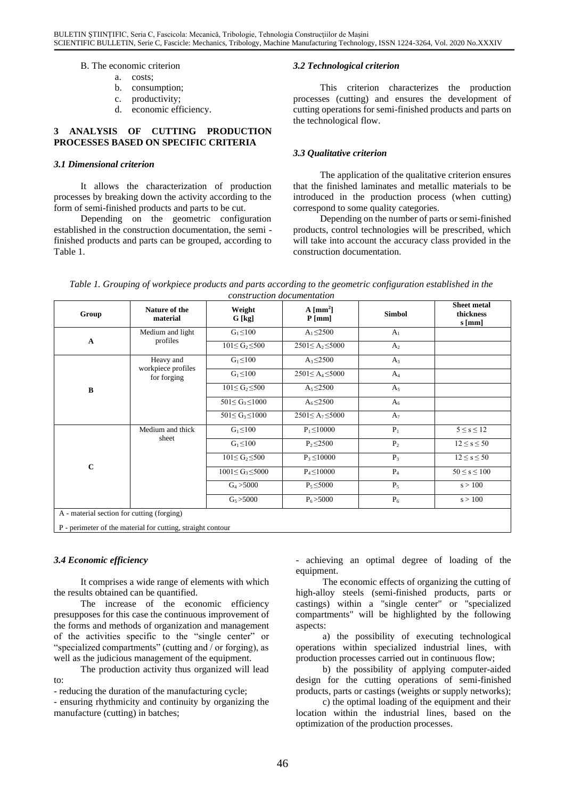B. The economic criterion

- a. costs;
- b. consumption;
- c. productivity;
- d. economic efficiency.

## **3 ANALYSIS OF CUTTING PRODUCTION PROCESSES BASED ON SPECIFIC CRITERIA**

#### *3.1 Dimensional criterion*

It allows the characterization of production processes by breaking down the activity according to the form of semi-finished products and parts to be cut.

Depending on the geometric configuration established in the construction documentation, the semi finished products and parts can be grouped, according to Table 1.

#### *3.2 Technological criterion*

This criterion characterizes the production processes (cutting) and ensures the development of cutting operations for semi-finished products and parts on the technological flow.

## *3.3 Qualitative criterion*

The application of the qualitative criterion ensures that the finished laminates and metallic materials to be introduced in the production process (when cutting) correspond to some quality categories.

Depending on the number of parts or semi-finished products, control technologies will be prescribed, which will take into account the accuracy class provided in the construction documentation.

| Table 1. Grouping of workpiece products and parts according to the geometric configuration established in the |
|---------------------------------------------------------------------------------------------------------------|
| construction documentation                                                                                    |

| Group                                                       | Nature of the<br>material                      | Weight<br>G [kg]        | $A \sim$ [mm <sup>2</sup> ]<br>$P$ [mm] | <b>Simbol</b>  | <b>Sheet metal</b><br>thickness<br>$s$ [mm] |  |
|-------------------------------------------------------------|------------------------------------------------|-------------------------|-----------------------------------------|----------------|---------------------------------------------|--|
| $\mathbf A$                                                 | Medium and light<br>profiles                   | $G_1 \leq 100$          | $A_1 \le 2500$                          | A <sub>1</sub> |                                             |  |
|                                                             |                                                | $101 \le G_2 \le 500$   | $2501 \le A_2 \le 5000$                 | A <sub>2</sub> |                                             |  |
| $\, {\bf B}$                                                | Heavy and<br>workpiece profiles<br>for forging | $G_1 \leq 100$          | $A_3 \le 2500$                          | $A_3$          |                                             |  |
|                                                             |                                                | $G_1 \leq 100$          | $2501 \leq A_4 \leq 5000$               | $A_4$          |                                             |  |
|                                                             |                                                | $101 \le G_2 \le 500$   | $A_5 \le 2500$                          | $A_5$          |                                             |  |
|                                                             |                                                | $501 \le G_3 \le 1000$  | $A_6 \leq 2500$                         | A <sub>6</sub> |                                             |  |
|                                                             |                                                | $501 \le G_3 \le 1000$  | $2501 \leq A_7 \leq 5000$               | $A_7$          |                                             |  |
| $\mathbf C$                                                 | Medium and thick<br>sheet                      | $G_1 \leq 100$          | $P_1 \le 10000$                         | $P_1$          | $5 \leq s \leq 12$                          |  |
|                                                             |                                                | $G_1 \leq 100$          | $P_2 \le 2500$                          | P <sub>2</sub> | $12 \leq s \leq 50$                         |  |
|                                                             |                                                | $101 \le G_2 \le 500$   | $P_3 \le 10000$                         | $P_3$          | $12 \leq s \leq 50$                         |  |
|                                                             |                                                | $1001 \le G_3 \le 5000$ | $P_4 \le 10000$                         | $P_4$          | $50 \leq s \leq 100$                        |  |
|                                                             |                                                | $G_4 > 5000$            | $P_5 \leq 5000$                         | $P_5$          | s > 100                                     |  |
|                                                             |                                                | $G_5 > 5000$            | $P_6 > 5000$                            | $P_6$          | s > 100                                     |  |
| A - material section for cutting (forging)                  |                                                |                         |                                         |                |                                             |  |
| P - perimeter of the material for cutting, straight contour |                                                |                         |                                         |                |                                             |  |

## *3.4 Economic efficiency*

It comprises a wide range of elements with which the results obtained can be quantified.

The increase of the economic efficiency presupposes for this case the continuous improvement of the forms and methods of organization and management of the activities specific to the "single center" or "specialized compartments" (cutting and / or forging), as well as the judicious management of the equipment.

The production activity thus organized will lead to:

- reducing the duration of the manufacturing cycle;

- ensuring rhythmicity and continuity by organizing the manufacture (cutting) in batches;

- achieving an optimal degree of loading of the equipment.

The economic effects of organizing the cutting of high-alloy steels (semi-finished products, parts or castings) within a "single center" or "specialized compartments" will be highlighted by the following aspects:

a) the possibility of executing technological operations within specialized industrial lines, with production processes carried out in continuous flow;

b) the possibility of applying computer-aided design for the cutting operations of semi-finished products, parts or castings (weights or supply networks);

c) the optimal loading of the equipment and their location within the industrial lines, based on the optimization of the production processes.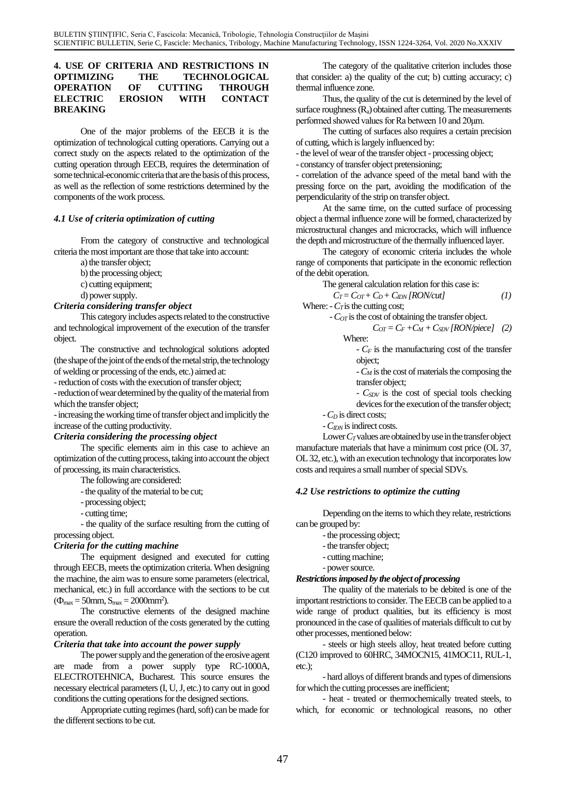## **4. USE OF CRITERIA AND RESTRICTIONS IN OPTIMIZING THE TECHNOLOGICAL OPERATION OF CUTTING THROUGH ELECTRIC EROSION WITH CONTACT BREAKING**

One of the major problems of the EECB it is the optimization of technological cutting operations. Carrying out a correct study on the aspects related to the optimization of the cutting operation through EECB, requires the determination of some technical-economic criteria that are the basis of this process, as well as the reflection of some restrictions determined by the components of the work process.

# *4.1 Use of criteria optimization of cutting*

From the category of constructive and technological criteria the most important are those that take into account:

a) the transfer object;

b) the processing object;

c) cutting equipment;

d) power supply.

#### *Criteria considering transfer object*

This category includes aspects related to the constructive and technological improvement of the execution of the transfer object.

The constructive and technological solutions adopted (the shape of the joint of the ends of the metal strip, the technology of welding or processing of the ends, etc.) aimed at:

-reduction of costs with the execution of transfer object;

-reduction of wear determined by the quality of the material from which the transfer object;

-increasing the working time of transfer object and implicitly the increase of the cutting productivity.

#### *Criteria considering the processing object*

The specific elements aim in this case to achieve an optimization of the cutting process, taking into account the object of processing, its main characteristics.

The following are considered:

-the quality of the material to be cut;

- processing object;
- cutting time;

- the quality of the surface resulting from the cutting of processing object.

## *Criteria for the cutting machine*

The equipment designed and executed for cutting through EECB, meets the optimization criteria. When designing the machine, the aim was to ensure some parameters (electrical, mechanical, etc.) in full accordance with the sections to be cut  $(\Phi_{\text{max}} = 50 \text{mm}, S_{\text{max}} = 2000 \text{mm}^2).$ 

The constructive elements of the designed machine ensure the overall reduction of the costs generated by the cutting operation.

#### *Criteria that take into account the power supply*

The power supply and the generation of the erosive agent are made from a power supply type RC-1000A, ELECTROTEHNICA, Bucharest. This source ensures the necessary electrical parameters (I, U, J, etc.) to carry out in good conditions the cutting operations for the designed sections.

Appropriate cutting regimes (hard, soft) can be made for the different sections to be cut.

The category of the qualitative criterion includes those that consider: a) the quality of the cut; b) cutting accuracy; c) thermal influence zone.

Thus, the quality of the cut is determined by the level of surface roughness  $(R_a)$  obtained after cutting. The measurements performed showed values for Ra between 10 and 20μm.

The cutting of surfaces also requires a certain precision of cutting, which is largely influenced by:

-the level of wear of the transfer object - processing object;

- constancy of transfer object pretensioning;

- correlation of the advance speed of the metal band with the pressing force on the part, avoiding the modification of the perpendicularity of the strip on transfer object.

At the same time, on the cutted surface of processing object a thermal influence zone will be formed, characterized by microstructural changes and microcracks, which will influence the depth and microstructure of the thermally influenced layer.

The category of economic criteria includes the whole range of components that participate in the economic reflection of the debit operation.

The general calculation relation for this case is:

 $C_T = C_{OT} + C_D + C_{DN}$  [RON/cut]  $(1)$ 

Where: - C<sub>*T*</sub> is the cutting cost;

-*COT* is the cost of obtaining the transfer object.

 $C_{OT} = C_F + C_M + C_{SDV}$  [RON/piece] (2) Where:

- *C<sup>F</sup>* is the manufacturing cost of the transfer object;

-*C<sup>M</sup>* is the cost of materials the composing the transfer object;

- *CSDV* is the cost of special tools checking devices for the execution of the transfer object;

-*C<sup>D</sup>* is direct costs;

-*CIDN* is indirect costs.

Lower  $C_T$  values are obtained by use in the transfer object manufacture materials that have a minimum cost price (OL 37, OL 32, etc.), with an execution technology that incorporates low costs and requires a small number of special SDVs.

#### *4.2 Use restrictions to optimize the cutting*

Depending on the items to which they relate, restrictions can be grouped by:

- -the processing object;
- -the transfer object;
- cutting machine;
- power source.

#### *Restrictions imposed by the object of processing*

The quality of the materials to be debited is one of the important restrictions to consider. The EECB can be applied to a wide range of product qualities, but its efficiency is most pronounced in the case of qualities of materials difficult to cut by other processes, mentioned below:

- steels or high steels alloy, heat treated before cutting (C120 improved to 60HRC, 34MOCN15, 41MOC11, RUL-1, etc.);

- hard alloys of different brands and types of dimensions for which the cutting processes are inefficient;

- heat - treated or thermochemically treated steels, to which, for economic or technological reasons, no other